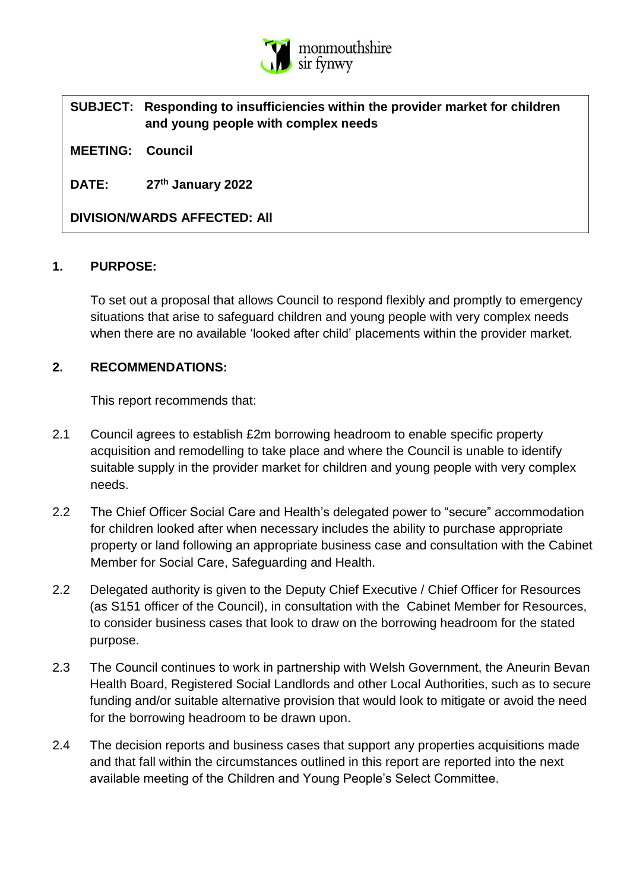

# **SUBJECT: Responding to insufficiencies within the provider market for children and young people with complex needs**

**MEETING: Council**

**DATE: 27th January 2022**

**DIVISION/WARDS AFFECTED: All**

#### **1. PURPOSE:**

To set out a proposal that allows Council to respond flexibly and promptly to emergency situations that arise to safeguard children and young people with very complex needs when there are no available 'looked after child' placements within the provider market.

### **2. RECOMMENDATIONS:**

This report recommends that:

- 2.1 Council agrees to establish £2m borrowing headroom to enable specific property acquisition and remodelling to take place and where the Council is unable to identify suitable supply in the provider market for children and young people with very complex needs.
- 2.2 The Chief Officer Social Care and Health's delegated power to "secure" accommodation for children looked after when necessary includes the ability to purchase appropriate property or land following an appropriate business case and consultation with the Cabinet Member for Social Care, Safeguarding and Health.
- 2.2 Delegated authority is given to the Deputy Chief Executive / Chief Officer for Resources (as S151 officer of the Council), in consultation with the Cabinet Member for Resources, to consider business cases that look to draw on the borrowing headroom for the stated purpose.
- 2.3 The Council continues to work in partnership with Welsh Government, the Aneurin Bevan Health Board, Registered Social Landlords and other Local Authorities, such as to secure funding and/or suitable alternative provision that would look to mitigate or avoid the need for the borrowing headroom to be drawn upon.
- 2.4 The decision reports and business cases that support any properties acquisitions made and that fall within the circumstances outlined in this report are reported into the next available meeting of the Children and Young People's Select Committee.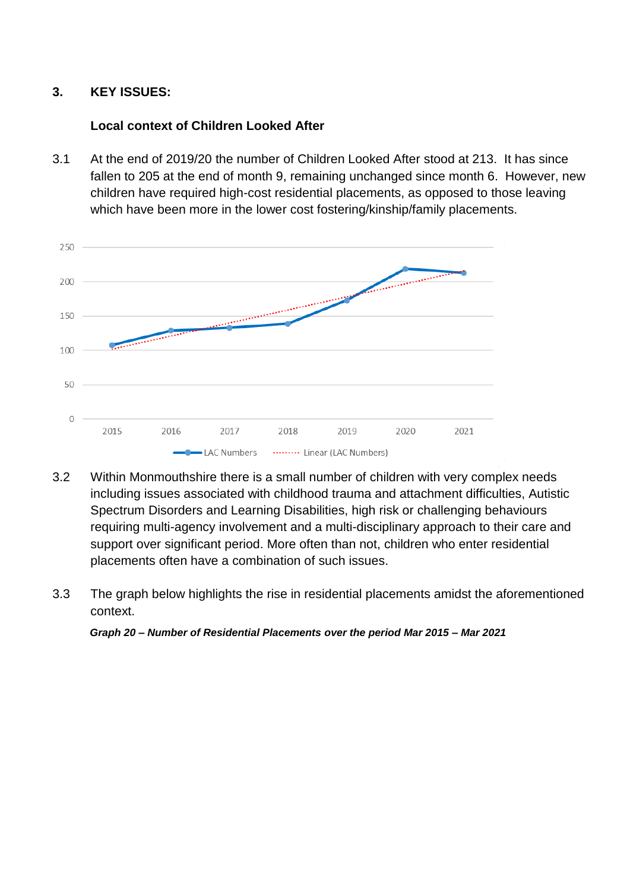#### **3. KEY ISSUES:**

#### **Local context of Children Looked After**

3.1 At the end of 2019/20 the number of Children Looked After stood at 213. It has since fallen to 205 at the end of month 9, remaining unchanged since month 6. However, new children have required high-cost residential placements, as opposed to those leaving which have been more in the lower cost fostering/kinship/family placements.



- 3.2 Within Monmouthshire there is a small number of children with very complex needs including issues associated with childhood trauma and attachment difficulties, Autistic Spectrum Disorders and Learning Disabilities, high risk or challenging behaviours requiring multi-agency involvement and a multi-disciplinary approach to their care and support over significant period. More often than not, children who enter residential placements often have a combination of such issues.
- 3.3 The graph below highlights the rise in residential placements amidst the aforementioned context.

*Graph 20 – Number of Residential Placements over the period Mar 2015 – Mar 2021*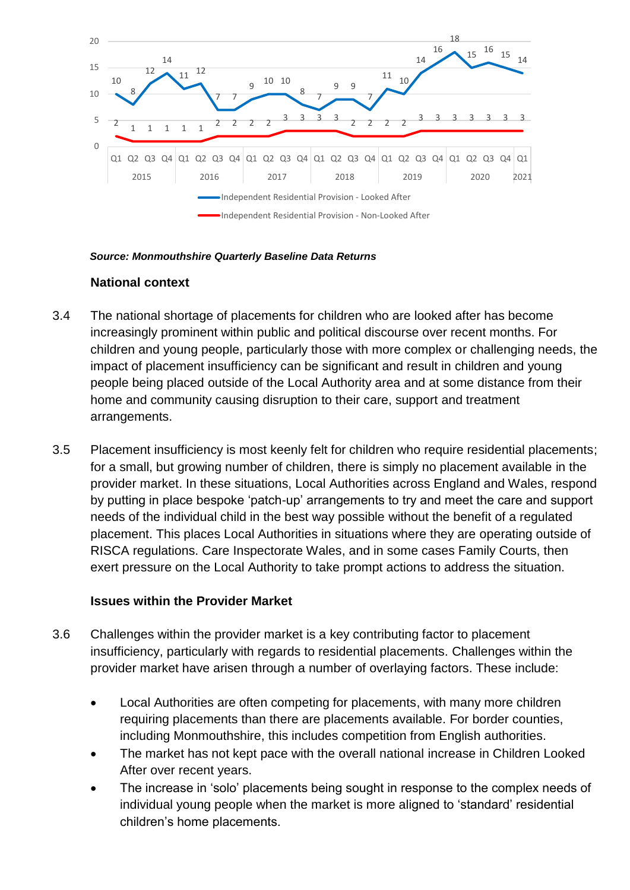

#### *Source: Monmouthshire Quarterly Baseline Data Returns*

### **National context**

- 3.4 The national shortage of placements for children who are looked after has become increasingly prominent within public and political discourse over recent months. For children and young people, particularly those with more complex or challenging needs, the impact of placement insufficiency can be significant and result in children and young people being placed outside of the Local Authority area and at some distance from their home and community causing disruption to their care, support and treatment arrangements.
- 3.5 Placement insufficiency is most keenly felt for children who require residential placements; for a small, but growing number of children, there is simply no placement available in the provider market. In these situations, Local Authorities across England and Wales, respond by putting in place bespoke 'patch-up' arrangements to try and meet the care and support needs of the individual child in the best way possible without the benefit of a regulated placement. This places Local Authorities in situations where they are operating outside of RISCA regulations. Care Inspectorate Wales, and in some cases Family Courts, then exert pressure on the Local Authority to take prompt actions to address the situation.

#### **Issues within the Provider Market**

- 3.6 Challenges within the provider market is a key contributing factor to placement insufficiency, particularly with regards to residential placements. Challenges within the provider market have arisen through a number of overlaying factors. These include:
	- Local Authorities are often competing for placements, with many more children requiring placements than there are placements available. For border counties, including Monmouthshire, this includes competition from English authorities.
	- The market has not kept pace with the overall national increase in Children Looked After over recent years.
	- The increase in 'solo' placements being sought in response to the complex needs of individual young people when the market is more aligned to 'standard' residential children's home placements.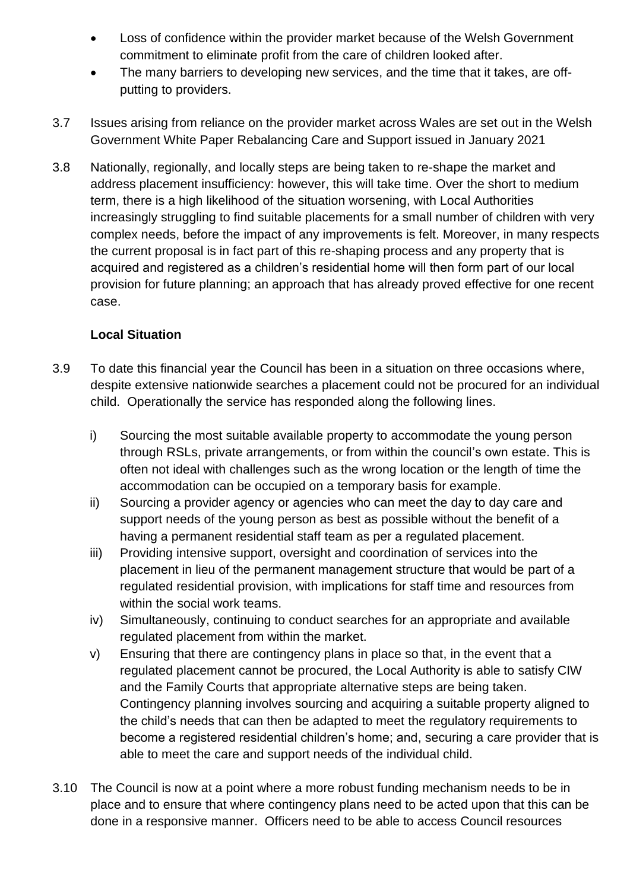- Loss of confidence within the provider market because of the Welsh Government commitment to eliminate profit from the care of children looked after.
- The many barriers to developing new services, and the time that it takes, are offputting to providers.
- 3.7 Issues arising from reliance on the provider market across Wales are set out in the Welsh Government White Paper Rebalancing Care and Support issued in January 2021
- 3.8 Nationally, regionally, and locally steps are being taken to re-shape the market and address placement insufficiency: however, this will take time. Over the short to medium term, there is a high likelihood of the situation worsening, with Local Authorities increasingly struggling to find suitable placements for a small number of children with very complex needs, before the impact of any improvements is felt. Moreover, in many respects the current proposal is in fact part of this re-shaping process and any property that is acquired and registered as a children's residential home will then form part of our local provision for future planning; an approach that has already proved effective for one recent case.

### **Local Situation**

- 3.9 To date this financial year the Council has been in a situation on three occasions where, despite extensive nationwide searches a placement could not be procured for an individual child. Operationally the service has responded along the following lines.
	- i) Sourcing the most suitable available property to accommodate the young person through RSLs, private arrangements, or from within the council's own estate. This is often not ideal with challenges such as the wrong location or the length of time the accommodation can be occupied on a temporary basis for example.
	- ii) Sourcing a provider agency or agencies who can meet the day to day care and support needs of the young person as best as possible without the benefit of a having a permanent residential staff team as per a regulated placement.
	- iii) Providing intensive support, oversight and coordination of services into the placement in lieu of the permanent management structure that would be part of a regulated residential provision, with implications for staff time and resources from within the social work teams.
	- iv) Simultaneously, continuing to conduct searches for an appropriate and available regulated placement from within the market.
	- v) Ensuring that there are contingency plans in place so that, in the event that a regulated placement cannot be procured, the Local Authority is able to satisfy CIW and the Family Courts that appropriate alternative steps are being taken. Contingency planning involves sourcing and acquiring a suitable property aligned to the child's needs that can then be adapted to meet the regulatory requirements to become a registered residential children's home; and, securing a care provider that is able to meet the care and support needs of the individual child.
- 3.10 The Council is now at a point where a more robust funding mechanism needs to be in place and to ensure that where contingency plans need to be acted upon that this can be done in a responsive manner. Officers need to be able to access Council resources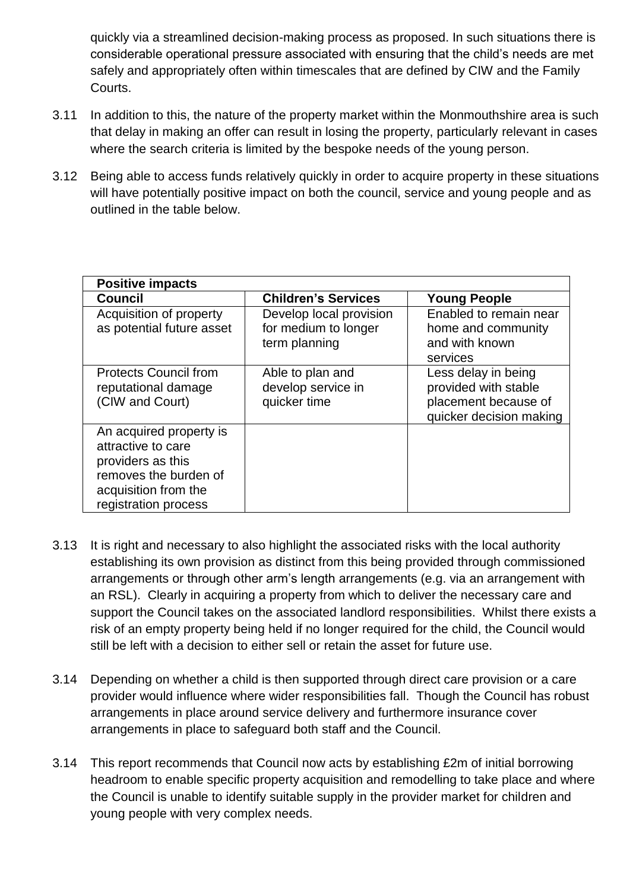quickly via a streamlined decision-making process as proposed. In such situations there is considerable operational pressure associated with ensuring that the child's needs are met safely and appropriately often within timescales that are defined by CIW and the Family Courts.

- 3.11 In addition to this, the nature of the property market within the Monmouthshire area is such that delay in making an offer can result in losing the property, particularly relevant in cases where the search criteria is limited by the bespoke needs of the young person.
- 3.12 Being able to access funds relatively quickly in order to acquire property in these situations will have potentially positive impact on both the council, service and young people and as outlined in the table below.

| <b>Positive impacts</b>                                                                                                                     |                                                                  |                                                                                                |
|---------------------------------------------------------------------------------------------------------------------------------------------|------------------------------------------------------------------|------------------------------------------------------------------------------------------------|
| <b>Council</b>                                                                                                                              | <b>Children's Services</b>                                       | <b>Young People</b>                                                                            |
| Acquisition of property<br>as potential future asset                                                                                        | Develop local provision<br>for medium to longer<br>term planning | Enabled to remain near<br>home and community<br>and with known<br>services                     |
| <b>Protects Council from</b><br>reputational damage<br>(CIW and Court)                                                                      | Able to plan and<br>develop service in<br>quicker time           | Less delay in being<br>provided with stable<br>placement because of<br>quicker decision making |
| An acquired property is<br>attractive to care<br>providers as this<br>removes the burden of<br>acquisition from the<br>registration process |                                                                  |                                                                                                |

- 3.13 It is right and necessary to also highlight the associated risks with the local authority establishing its own provision as distinct from this being provided through commissioned arrangements or through other arm's length arrangements (e.g. via an arrangement with an RSL). Clearly in acquiring a property from which to deliver the necessary care and support the Council takes on the associated landlord responsibilities. Whilst there exists a risk of an empty property being held if no longer required for the child, the Council would still be left with a decision to either sell or retain the asset for future use.
- 3.14 Depending on whether a child is then supported through direct care provision or a care provider would influence where wider responsibilities fall. Though the Council has robust arrangements in place around service delivery and furthermore insurance cover arrangements in place to safeguard both staff and the Council.
- 3.14 This report recommends that Council now acts by establishing £2m of initial borrowing headroom to enable specific property acquisition and remodelling to take place and where the Council is unable to identify suitable supply in the provider market for children and young people with very complex needs.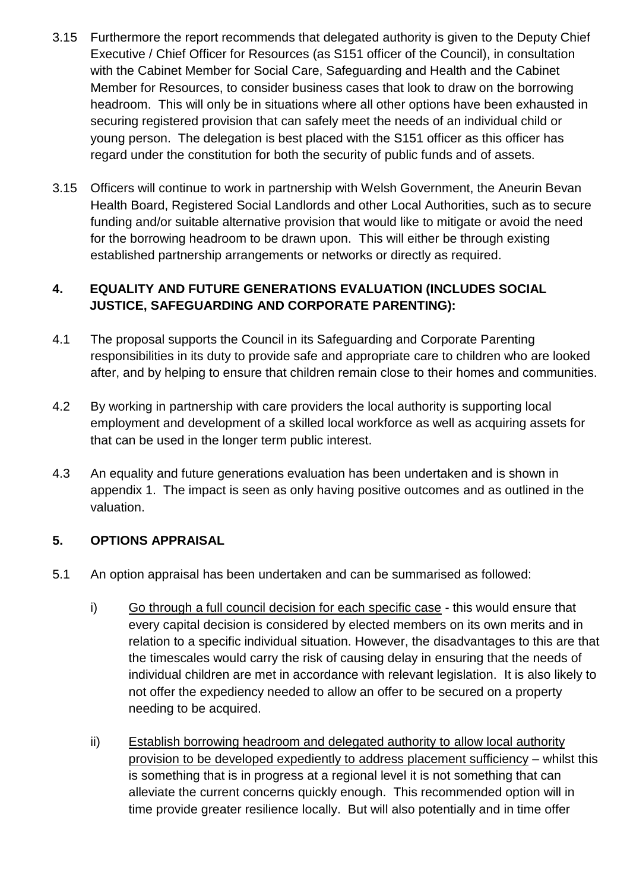- 3.15 Furthermore the report recommends that delegated authority is given to the Deputy Chief Executive / Chief Officer for Resources (as S151 officer of the Council), in consultation with the Cabinet Member for Social Care, Safeguarding and Health and the Cabinet Member for Resources, to consider business cases that look to draw on the borrowing headroom. This will only be in situations where all other options have been exhausted in securing registered provision that can safely meet the needs of an individual child or young person. The delegation is best placed with the S151 officer as this officer has regard under the constitution for both the security of public funds and of assets.
- 3.15 Officers will continue to work in partnership with Welsh Government, the Aneurin Bevan Health Board, Registered Social Landlords and other Local Authorities, such as to secure funding and/or suitable alternative provision that would like to mitigate or avoid the need for the borrowing headroom to be drawn upon. This will either be through existing established partnership arrangements or networks or directly as required.

### **4. EQUALITY AND FUTURE GENERATIONS EVALUATION (INCLUDES SOCIAL JUSTICE, SAFEGUARDING AND CORPORATE PARENTING):**

- 4.1 The proposal supports the Council in its Safeguarding and Corporate Parenting responsibilities in its duty to provide safe and appropriate care to children who are looked after, and by helping to ensure that children remain close to their homes and communities.
- 4.2 By working in partnership with care providers the local authority is supporting local employment and development of a skilled local workforce as well as acquiring assets for that can be used in the longer term public interest.
- 4.3 An equality and future generations evaluation has been undertaken and is shown in appendix 1. The impact is seen as only having positive outcomes and as outlined in the valuation.

# **5. OPTIONS APPRAISAL**

- 5.1 An option appraisal has been undertaken and can be summarised as followed:
	- i) Go through a full council decision for each specific case this would ensure that every capital decision is considered by elected members on its own merits and in relation to a specific individual situation. However, the disadvantages to this are that the timescales would carry the risk of causing delay in ensuring that the needs of individual children are met in accordance with relevant legislation. It is also likely to not offer the expediency needed to allow an offer to be secured on a property needing to be acquired.
	- ii) Establish borrowing headroom and delegated authority to allow local authority provision to be developed expediently to address placement sufficiency – whilst this is something that is in progress at a regional level it is not something that can alleviate the current concerns quickly enough. This recommended option will in time provide greater resilience locally. But will also potentially and in time offer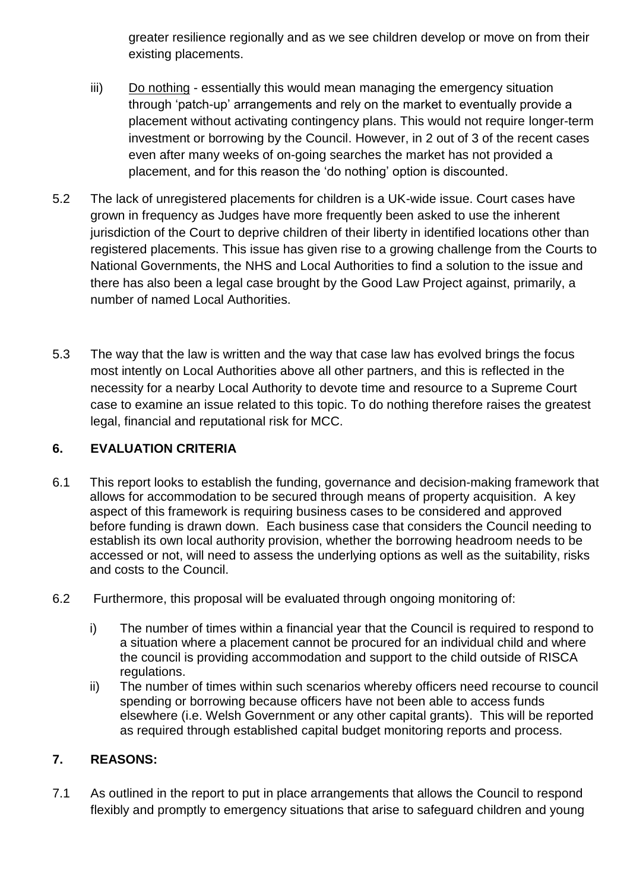greater resilience regionally and as we see children develop or move on from their existing placements.

- iii) Do nothing essentially this would mean managing the emergency situation through 'patch-up' arrangements and rely on the market to eventually provide a placement without activating contingency plans. This would not require longer-term investment or borrowing by the Council. However, in 2 out of 3 of the recent cases even after many weeks of on-going searches the market has not provided a placement, and for this reason the 'do nothing' option is discounted.
- 5.2 The lack of unregistered placements for children is a UK-wide issue. Court cases have grown in frequency as Judges have more frequently been asked to use the inherent jurisdiction of the Court to deprive children of their liberty in identified locations other than registered placements. This issue has given rise to a growing challenge from the Courts to National Governments, the NHS and Local Authorities to find a solution to the issue and there has also been a legal case brought by the Good Law Project against, primarily, a number of named Local Authorities.
- 5.3 The way that the law is written and the way that case law has evolved brings the focus most intently on Local Authorities above all other partners, and this is reflected in the necessity for a nearby Local Authority to devote time and resource to a Supreme Court case to examine an issue related to this topic. To do nothing therefore raises the greatest legal, financial and reputational risk for MCC.

# **6. EVALUATION CRITERIA**

- 6.1 This report looks to establish the funding, governance and decision-making framework that allows for accommodation to be secured through means of property acquisition. A key aspect of this framework is requiring business cases to be considered and approved before funding is drawn down. Each business case that considers the Council needing to establish its own local authority provision, whether the borrowing headroom needs to be accessed or not, will need to assess the underlying options as well as the suitability, risks and costs to the Council.
- 6.2 Furthermore, this proposal will be evaluated through ongoing monitoring of:
	- i) The number of times within a financial year that the Council is required to respond to a situation where a placement cannot be procured for an individual child and where the council is providing accommodation and support to the child outside of RISCA regulations.
	- ii) The number of times within such scenarios whereby officers need recourse to council spending or borrowing because officers have not been able to access funds elsewhere (i.e. Welsh Government or any other capital grants). This will be reported as required through established capital budget monitoring reports and process.

# **7. REASONS:**

7.1 As outlined in the report to put in place arrangements that allows the Council to respond flexibly and promptly to emergency situations that arise to safeguard children and young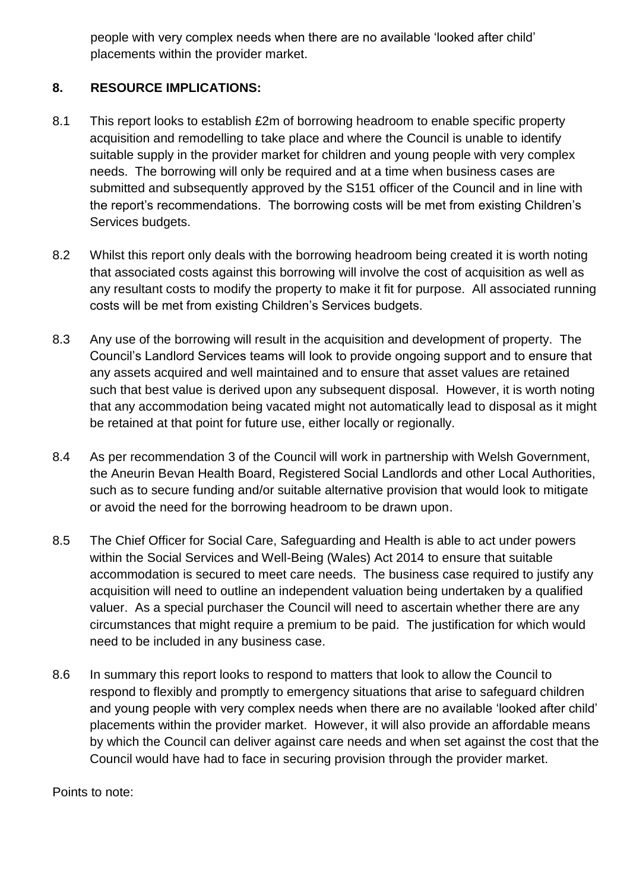people with very complex needs when there are no available 'looked after child' placements within the provider market.

# **8. RESOURCE IMPLICATIONS:**

- 8.1 This report looks to establish £2m of borrowing headroom to enable specific property acquisition and remodelling to take place and where the Council is unable to identify suitable supply in the provider market for children and young people with very complex needs. The borrowing will only be required and at a time when business cases are submitted and subsequently approved by the S151 officer of the Council and in line with the report's recommendations. The borrowing costs will be met from existing Children's Services budgets.
- 8.2 Whilst this report only deals with the borrowing headroom being created it is worth noting that associated costs against this borrowing will involve the cost of acquisition as well as any resultant costs to modify the property to make it fit for purpose. All associated running costs will be met from existing Children's Services budgets.
- 8.3 Any use of the borrowing will result in the acquisition and development of property. The Council's Landlord Services teams will look to provide ongoing support and to ensure that any assets acquired and well maintained and to ensure that asset values are retained such that best value is derived upon any subsequent disposal. However, it is worth noting that any accommodation being vacated might not automatically lead to disposal as it might be retained at that point for future use, either locally or regionally.
- 8.4 As per recommendation 3 of the Council will work in partnership with Welsh Government, the Aneurin Bevan Health Board, Registered Social Landlords and other Local Authorities, such as to secure funding and/or suitable alternative provision that would look to mitigate or avoid the need for the borrowing headroom to be drawn upon.
- 8.5 The Chief Officer for Social Care, Safeguarding and Health is able to act under powers within the Social Services and Well-Being (Wales) Act 2014 to ensure that suitable accommodation is secured to meet care needs. The business case required to justify any acquisition will need to outline an independent valuation being undertaken by a qualified valuer. As a special purchaser the Council will need to ascertain whether there are any circumstances that might require a premium to be paid. The justification for which would need to be included in any business case.
- 8.6 In summary this report looks to respond to matters that look to allow the Council to respond to flexibly and promptly to emergency situations that arise to safeguard children and young people with very complex needs when there are no available 'looked after child' placements within the provider market. However, it will also provide an affordable means by which the Council can deliver against care needs and when set against the cost that the Council would have had to face in securing provision through the provider market.

Points to note: